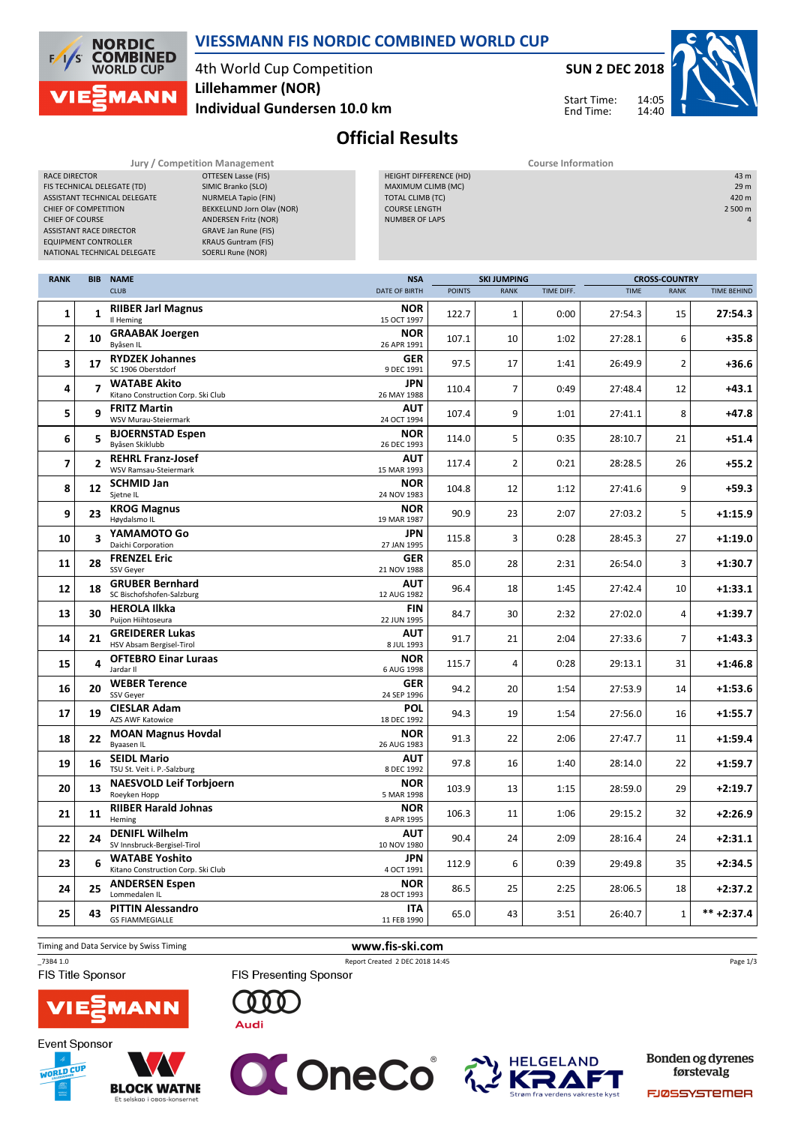

### VIESSMANN FIS NORDIC COMBINED WORLD CUP

4th World Cup Competition Individual Gundersen 10.0 km Lillehammer (NOR)



14:40

Start Time: End Time:



Official Results

|                               |            | P(1)                           |                             | $\mathbf{A}$                  |               |                    |            |             |                      |                    |  |  |
|-------------------------------|------------|--------------------------------|-----------------------------|-------------------------------|---------------|--------------------|------------|-------------|----------------------|--------------------|--|--|
|                               |            | <b>CLUB</b>                    |                             | <b>DATE OF BIRTH</b>          | <b>POINTS</b> | <b>RANK</b>        | TIME DIFF. | <b>TIME</b> | <b>RANK</b>          | <b>TIME BEHIND</b> |  |  |
| <b>RANK</b>                   | <b>BIB</b> | <b>NAME</b>                    |                             | <b>NSA</b>                    |               | <b>SKI JUMPING</b> |            |             | <b>CROSS-COUNTRY</b> |                    |  |  |
|                               |            |                                |                             |                               |               |                    |            |             |                      |                    |  |  |
|                               |            | NATIONAL TECHNICAL DELEGATE    | SOERLI Rune (NOR)           |                               |               |                    |            |             |                      |                    |  |  |
| EQUIPMENT CONTROLLER          |            |                                | <b>KRAUS Guntram (FIS)</b>  |                               |               |                    |            |             |                      |                    |  |  |
|                               |            | <b>ASSISTANT RACE DIRECTOR</b> | <b>GRAVE Jan Rune (FIS)</b> |                               |               |                    |            |             |                      |                    |  |  |
| CHIEF OF COURSE               |            |                                | <b>ANDERSEN Fritz (NOR)</b> | NUMBER OF LAPS                |               |                    |            |             |                      |                    |  |  |
| CHIEF OF COMPETITION          |            |                                | BEKKELUND Jorn Olav (NOR)   | <b>COURSE LENGTH</b>          |               |                    |            |             |                      | 2 500 m            |  |  |
|                               |            | ASSISTANT TECHNICAL DELEGATE   | NURMELA Tapio (FIN)         | TOTAL CLIMB (TC)              |               |                    |            |             |                      | 420 m              |  |  |
|                               |            | FIS TECHNICAL DELEGATE (TD)    | SIMIC Branko (SLO)          | MAXIMUM CLIMB (MC)            |               |                    |            |             |                      | 29 <sub>m</sub>    |  |  |
| RACE DIRECTOR                 |            |                                | OTTESEN Lasse (FIS)         | <b>HEIGHT DIFFERENCE (HD)</b> |               |                    |            |             |                      | 43 m               |  |  |
| Jury / Competition Management |            |                                |                             | <b>Course Information</b>     |               |                    |            |             |                      |                    |  |  |

| $\mathbf{1}$   | $\mathbf{1}$   | <b>RIIBER Jarl Magnus</b><br>Il Heming                      | <b>NOR</b><br>15 OCT 1997 | 122.7 | $\mathbf{1}$   | 0:00 | 27:54.3 | 15             | 27:54.3        |
|----------------|----------------|-------------------------------------------------------------|---------------------------|-------|----------------|------|---------|----------------|----------------|
| $\overline{2}$ | 10             | <b>GRAABAK Joergen</b><br>Byåsen IL                         | <b>NOR</b><br>26 APR 1991 | 107.1 | 10             | 1:02 | 27:28.1 | 6              | $+35.8$        |
| 3              | 17             | <b>RYDZEK Johannes</b>                                      | <b>GER</b>                | 97.5  | 17             | 1:41 | 26:49.9 | $\overline{2}$ | $+36.6$        |
| 4              | $\overline{7}$ | SC 1906 Oberstdorf<br><b>WATABE Akito</b>                   | 9 DEC 1991<br>JPN         | 110.4 | $\overline{7}$ | 0:49 | 27:48.4 | 12             | $+43.1$        |
| 5              | q              | Kitano Construction Corp. Ski Club<br><b>FRITZ Martin</b>   | 26 MAY 1988<br>AUT        | 107.4 | 9              |      |         | 8              |                |
|                |                | WSV Murau-Steiermark<br><b>BJOERNSTAD Espen</b>             | 24 OCT 1994<br><b>NOR</b> |       |                | 1:01 | 27:41.1 |                | +47.8          |
| 6              | 5              | Byåsen Skiklubb                                             | 26 DEC 1993               | 114.0 | 5              | 0:35 | 28:10.7 | 21             | $+51.4$        |
| $\overline{7}$ | $\overline{2}$ | <b>REHRL Franz-Josef</b><br>WSV Ramsau-Steiermark           | AUT<br>15 MAR 1993        | 117.4 | $\overline{2}$ | 0:21 | 28:28.5 | 26             | $+55.2$        |
| 8              | 12             | <b>SCHMID Jan</b><br>Sjetne IL                              | <b>NOR</b><br>24 NOV 1983 | 104.8 | 12             | 1:12 | 27:41.6 | 9              | $+59.3$        |
| 9              | 23             | <b>KROG Magnus</b><br>Høydalsmo IL                          | <b>NOR</b><br>19 MAR 1987 | 90.9  | 23             | 2:07 | 27:03.2 | 5              | $+1:15.9$      |
| 10             | 3              | YAMAMOTO Go<br>Daichi Corporation                           | JPN<br>27 JAN 1995        | 115.8 | 3              | 0:28 | 28:45.3 | 27             | $+1:19.0$      |
| 11             | 28             | <b>FRENZEL Eric</b><br>SSV Geyer                            | <b>GER</b><br>21 NOV 1988 | 85.0  | 28             | 2:31 | 26:54.0 | 3              | $+1:30.7$      |
| 12             | 18             | <b>GRUBER Bernhard</b><br>SC Bischofshofen-Salzburg         | <b>AUT</b><br>12 AUG 1982 | 96.4  | 18             | 1:45 | 27:42.4 | 10             | $+1:33.1$      |
| 13             | 30             | <b>HEROLA Ilkka</b><br>Puijon Hiihtoseura                   | <b>FIN</b><br>22 JUN 1995 | 84.7  | 30             | 2:32 | 27:02.0 | 4              | $+1:39.7$      |
| 14             | 21             | <b>GREIDERER Lukas</b><br>HSV Absam Bergisel-Tirol          | <b>AUT</b><br>8 JUL 1993  | 91.7  | 21             | 2:04 | 27:33.6 | $\overline{7}$ | $+1:43.3$      |
| 15             | 4              | <b>OFTEBRO Einar Luraas</b>                                 | <b>NOR</b>                | 115.7 | 4              | 0:28 | 29:13.1 | 31             | $+1:46.8$      |
| 16             | 20             | Jardar II<br><b>WEBER Terence</b>                           | 6 AUG 1998<br><b>GER</b>  | 94.2  | 20             | 1:54 | 27:53.9 | 14             | $+1:53.6$      |
| 17             | 19             | SSV Geyer<br><b>CIESLAR Adam</b>                            | 24 SEP 1996<br><b>POL</b> | 94.3  | 19             | 1:54 | 27:56.0 | 16             | $+1:55.7$      |
|                | 22             | <b>AZS AWF Katowice</b><br><b>MOAN Magnus Hovdal</b>        | 18 DEC 1992<br><b>NOR</b> |       |                |      |         |                |                |
| 18             |                | Byaasen IL<br><b>SEIDL Mario</b>                            | 26 AUG 1983<br><b>AUT</b> | 91.3  | 22             | 2:06 | 27:47.7 | 11             | $+1:59.4$      |
| 19             | 16             | TSU St. Veit i. P.-Salzburg                                 | 8 DEC 1992                | 97.8  | 16             | 1:40 | 28:14.0 | 22             | $+1:59.7$      |
| 20             | 13             | <b>NAESVOLD Leif Torbjoern</b><br>Roevken Hopp              | <b>NOR</b><br>5 MAR 1998  | 103.9 | 13             | 1:15 | 28:59.0 | 29             | $+2:19.7$      |
| 21             | 11             | <b>RIIBER Harald Johnas</b><br>Heming                       | <b>NOR</b><br>8 APR 1995  | 106.3 | 11             | 1:06 | 29:15.2 | 32             | $+2:26.9$      |
| 22             | 24             | <b>DENIFL Wilhelm</b><br>SV Innsbruck-Bergisel-Tirol        | AUT<br>10 NOV 1980        | 90.4  | 24             | 2:09 | 28:16.4 | 24             | $+2:31.1$      |
| 23             | 6              | <b>WATABE Yoshito</b><br>Kitano Construction Corp. Ski Club | <b>JPN</b><br>4 OCT 1991  | 112.9 | 6              | 0:39 | 29:49.8 | 35             | $+2:34.5$      |
| 24             | 25             | <b>ANDERSEN Espen</b><br>Lommedalen IL                      | <b>NOR</b><br>28 OCT 1993 | 86.5  | 25             | 2:25 | 28:06.5 | 18             | $+2:37.2$      |
| 25             | 43             | <b>PITTIN Alessandro</b><br><b>GS FIAMMEGIALLE</b>          | <b>ITA</b><br>11 FEB 1990 | 65.0  | 43             | 3:51 | 26:40.7 | $\mathbf{1}$   | $*** + 2:37.4$ |

Timing and Data Service by Swiss Timing **www.fis-ski.com** 

\_73B4 1.0 Report Created 2 DEC 2018 14:45

FIS Title Sponsor



**FIS Presenting Sponsor** 









Bonden og dyrenes førstevalg

FJØSSYSTEMER

Page 1/3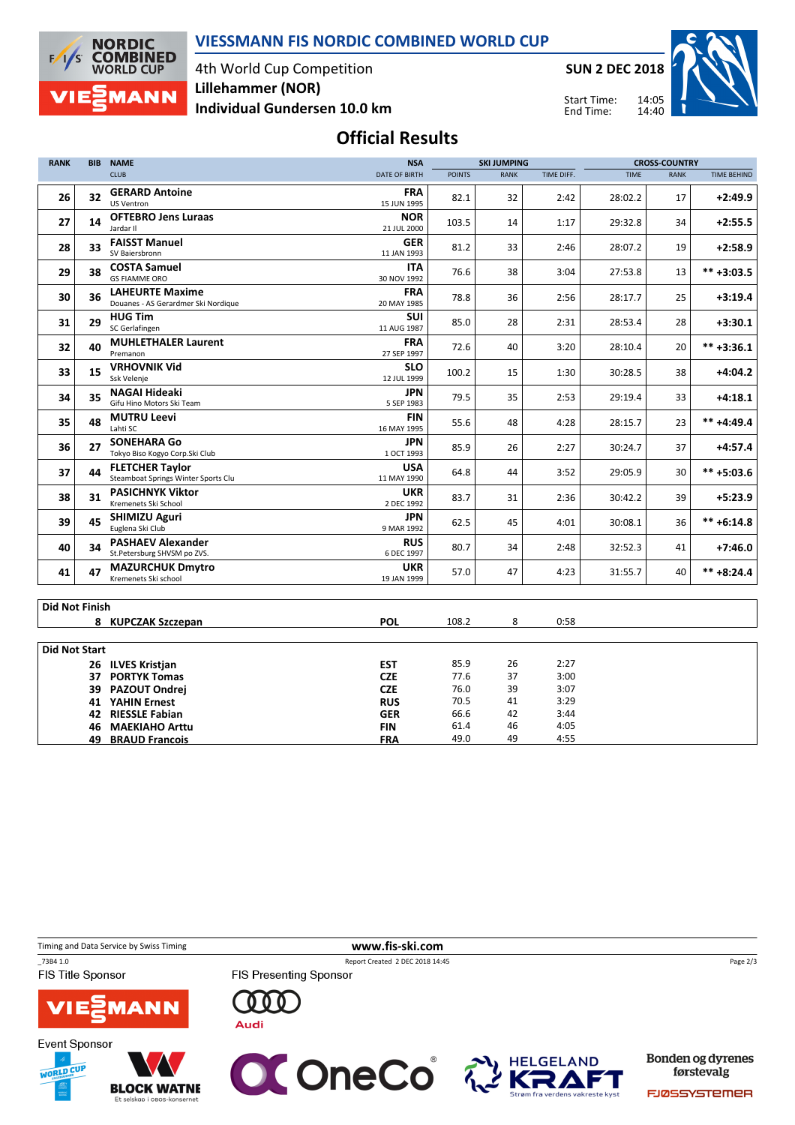

### VIESSMANN FIS NORDIC COMBINED WORLD CUP

4th World Cup Competition Individual Gundersen 10.0 km Lillehammer (NOR)

SUN 2 DEC 2018

Start Time: End Time:



# Official Results

| <b>RANK</b>           | <b>BIB</b> | <b>NAME</b>                                                   | <b>NSA</b>                | <b>SKI JUMPING</b> |             |              | <b>CROSS-COUNTRY</b> |             |                    |  |
|-----------------------|------------|---------------------------------------------------------------|---------------------------|--------------------|-------------|--------------|----------------------|-------------|--------------------|--|
|                       |            | <b>CLUB</b>                                                   | DATE OF BIRTH             | <b>POINTS</b>      | <b>RANK</b> | TIME DIFF.   | <b>TIME</b>          | <b>RANK</b> | <b>TIME BEHIND</b> |  |
| 26                    | 32         | <b>GERARD Antoine</b><br><b>US Ventron</b>                    | <b>FRA</b><br>15 JUN 1995 | 82.1               | 32          | 2:42         | 28:02.2              | 17          | $+2:49.9$          |  |
| 27                    | 14         | <b>OFTEBRO Jens Luraas</b><br>Jardar II                       | <b>NOR</b><br>21 JUL 2000 | 103.5              | 14          | 1:17         | 29:32.8              | 34          | $+2:55.5$          |  |
| 28                    | 33         | <b>FAISST Manuel</b><br>SV Baiersbronn                        | <b>GER</b><br>11 JAN 1993 | 81.2               | 33          | 2:46         | 28:07.2              | 19          | $+2:58.9$          |  |
| 29                    | 38         | <b>COSTA Samuel</b><br><b>GS FIAMME ORO</b>                   | <b>ITA</b><br>30 NOV 1992 | 76.6               | 38          | 3:04         | 27:53.8              | 13          | $*** +3:03.5$      |  |
| 30                    | 36         | <b>LAHEURTE Maxime</b><br>Douanes - AS Gerardmer Ski Nordique | <b>FRA</b><br>20 MAY 1985 | 78.8               | 36          | 2:56         | 28:17.7              | 25          | $+3:19.4$          |  |
| 31                    | 29         | <b>HUG Tim</b><br>SC Gerlafingen                              | SUI<br>11 AUG 1987        | 85.0               | 28          | 2:31         | 28:53.4              | 28          | $+3:30.1$          |  |
| 32                    | 40         | <b>MUHLETHALER Laurent</b><br>Premanon                        | <b>FRA</b><br>27 SEP 1997 | 72.6               | 40          | 3:20         | 28:10.4              | 20          | $*** +3:36.1$      |  |
| 33                    | 15         | <b>VRHOVNIK Vid</b><br>Ssk Velenje                            | <b>SLO</b><br>12 JUL 1999 | 100.2              | 15          | 1:30         | 30:28.5              | 38          | $+4:04.2$          |  |
| 34                    | 35         | <b>NAGAI Hideaki</b><br>Gifu Hino Motors Ski Team             | <b>JPN</b><br>5 SEP 1983  | 79.5               | 35          | 2:53         | 29:19.4              | 33          | $+4:18.1$          |  |
| 35                    | 48         | <b>MUTRU Leevi</b><br>Lahti SC                                | <b>FIN</b><br>16 MAY 1995 | 55.6               | 48          | 4:28         | 28:15.7              | 23          | $*** +4:49.4$      |  |
| 36                    | 27         | <b>SONEHARA Go</b><br>Tokyo Biso Kogyo Corp.Ski Club          | <b>JPN</b><br>1 OCT 1993  | 85.9               | 26          | 2:27         | 30:24.7              | 37          | $+4:57.4$          |  |
| 37                    | 44         | <b>FLETCHER Taylor</b><br>Steamboat Springs Winter Sports Clu | <b>USA</b><br>11 MAY 1990 | 64.8               | 44          | 3:52         | 29:05.9              | 30          | $*** +5:03.6$      |  |
| 38                    | 31         | <b>PASICHNYK Viktor</b><br>Kremenets Ski School               | <b>UKR</b><br>2 DEC 1992  | 83.7               | 31          | 2:36         | 30:42.2              | 39          | $+5:23.9$          |  |
| 39                    | 45         | <b>SHIMIZU Aguri</b><br>Euglena Ski Club                      | <b>JPN</b><br>9 MAR 1992  | 62.5               | 45          | 4:01         | 30:08.1              | 36          | $*** + 6:14.8$     |  |
| 40                    | 34         | <b>PASHAEV Alexander</b><br>St.Petersburg SHVSM po ZVS.       | <b>RUS</b><br>6 DEC 1997  | 80.7               | 34          | 2:48         | 32:52.3              | 41          | $+7:46.0$          |  |
| 41                    | 47         | <b>MAZURCHUK Dmytro</b><br>Kremenets Ski school               | <b>UKR</b><br>19 JAN 1999 | 57.0               | 47          | 4:23         | 31:55.7              | 40          | $*** +8:24.4$      |  |
|                       |            |                                                               |                           |                    |             |              |                      |             |                    |  |
| <b>Did Not Finish</b> |            | 8 KUPCZAK Szczepan                                            | <b>POL</b>                | 108.2              | 8           | 0:58         |                      |             |                    |  |
|                       |            |                                                               |                           |                    |             |              |                      |             |                    |  |
| <b>Did Not Start</b>  |            |                                                               |                           |                    |             |              |                      |             |                    |  |
|                       |            | 26 ILVES Kristjan                                             | <b>EST</b>                | 85.9               | 26          | 2:27         |                      |             |                    |  |
|                       | 37         | <b>PORTYK Tomas</b>                                           | <b>CZE</b>                | 77.6               | 37          | 3:00         |                      |             |                    |  |
|                       | 39         | PAZOUT Ondrej                                                 | <b>CZE</b>                | 76.0               | 39          | 3:07         |                      |             |                    |  |
|                       |            | <b>41 YAHIN Ernest</b>                                        | <b>RUS</b>                | 70.5               | 41          | 3:29         |                      |             |                    |  |
|                       | 42<br>46   | <b>RIESSLE Fabian</b><br><b>MAEKIAHO Arttu</b>                | <b>GER</b><br><b>FIN</b>  | 66.6<br>61.4       | 42<br>46    | 3:44<br>4:05 |                      |             |                    |  |
|                       |            | <b>49 BRAUD Francois</b>                                      | <b>FRA</b>                | 49.0               | 49          | 4:55         |                      |             |                    |  |
|                       |            |                                                               |                           |                    |             |              |                      |             |                    |  |